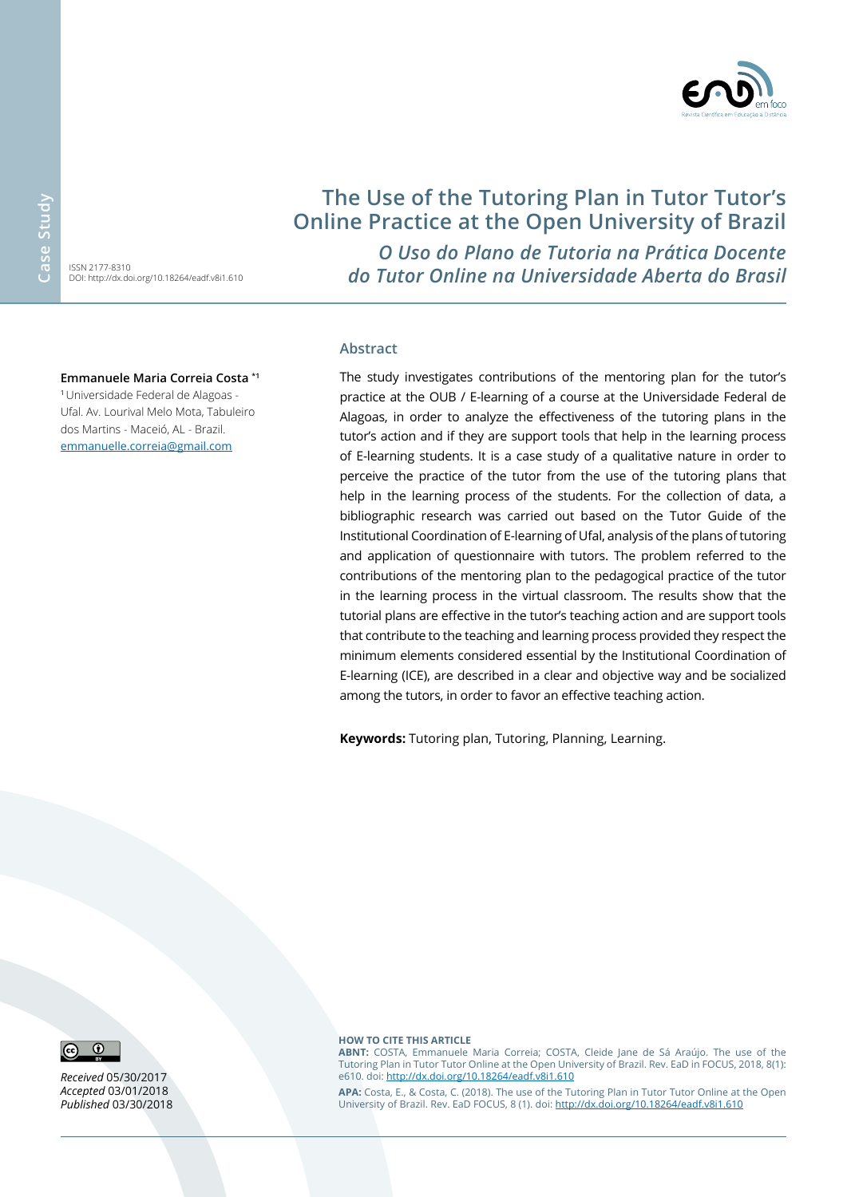ISSN 2177-8310 DOI: http://dx.doi.org/10.18264/eadf.v8i1.610

# **The Use of the Tutoring Plan in Tutor Tutor's Online Practice at the Open University of Brazil**

*O Uso do Plano de Tutoria na Prática Docente do Tutor Online na Universidade Aberta do Brasil*

#### **Emmanuele Maria Correia Costa \*1**

<sup>1</sup>Universidade Federal de Alagoas - Ufal. Av. Lourival Melo Mota, Tabuleiro dos Martins - Maceió, AL - Brazil. [emmanuelle.correia@gmail.com](mailto:emmanuelle.correia%40gmail.com?subject=EAD%20em%20Foco)

#### **Abstract**

The study investigates contributions of the mentoring plan for the tutor's practice at the OUB / E-learning of a course at the Universidade Federal de Alagoas, in order to analyze the effectiveness of the tutoring plans in the tutor's action and if they are support tools that help in the learning process of E-learning students. It is a case study of a qualitative nature in order to perceive the practice of the tutor from the use of the tutoring plans that help in the learning process of the students. For the collection of data, a bibliographic research was carried out based on the Tutor Guide of the Institutional Coordination of E-learning of Ufal, analysis of the plans of tutoring and application of questionnaire with tutors. The problem referred to the contributions of the mentoring plan to the pedagogical practice of the tutor in the learning process in the virtual classroom. The results show that the tutorial plans are effective in the tutor's teaching action and are support tools that contribute to the teaching and learning process provided they respect the minimum elements considered essential by the Institutional Coordination of E-learning (ICE), are described in a clear and objective way and be socialized among the tutors, in order to favor an effective teaching action.

**Keywords:** Tutoring plan, Tutoring, Planning, Learning.



*Received* 05/30/2017 *Accepted* 03/01/2018 *Published* 03/30/2018

#### **HOW TO CITE THIS ARTICLE**

**ABNT:** COSTA, Emmanuele Maria Correia; COSTA, Cleide Jane de Sá Araújo. The use of the Tutoring Plan in Tutor Tutor Online at the Open University of Brazil. Rev. EaD in FOCUS, 2018, 8(1): e610. doi: <http://dx.doi.org/10.18264/eadf.v8i1.610>

**APA:** Costa, E., & Costa, C. (2018). The use of the Tutoring Plan in Tutor Tutor Online at the Open University of Brazil. Rev. EaD FOCUS, 8 (1). doi:<http://dx.doi.org/10.18264/eadf.v8i1.610>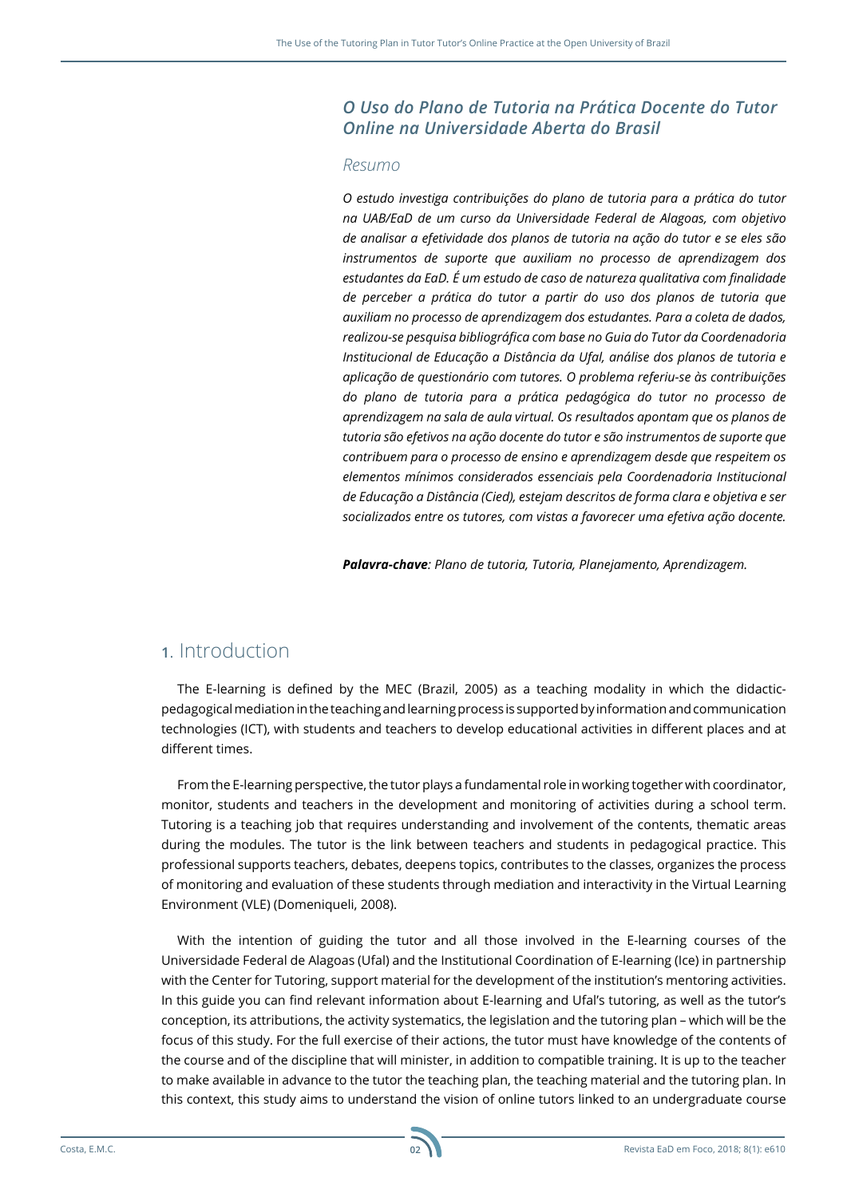#### *O Uso do Plano de Tutoria na Prática Docente do Tutor Online na Universidade Aberta do Brasil*

#### *Resumo*

*O estudo investiga contribuições do plano de tutoria para a prática do tutor na UAB/EaD de um curso da Universidade Federal de Alagoas, com objetivo de analisar a efetividade dos planos de tutoria na ação do tutor e se eles são instrumentos de suporte que auxiliam no processo de aprendizagem dos estudantes da EaD. É um estudo de caso de natureza qualitativa com finalidade de perceber a prática do tutor a partir do uso dos planos de tutoria que auxiliam no processo de aprendizagem dos estudantes. Para a coleta de dados, realizou-se pesquisa bibliográfica com base no Guia do Tutor da Coordenadoria Institucional de Educação a Distância da Ufal, análise dos planos de tutoria e aplicação de questionário com tutores. O problema referiu-se às contribuições do plano de tutoria para a prática pedagógica do tutor no processo de aprendizagem na sala de aula virtual. Os resultados apontam que os planos de tutoria são efetivos na ação docente do tutor e são instrumentos de suporte que contribuem para o processo de ensino e aprendizagem desde que respeitem os elementos mínimos considerados essenciais pela Coordenadoria Institucional de Educação a Distância (Cied), estejam descritos de forma clara e objetiva e ser socializados entre os tutores, com vistas a favorecer uma efetiva ação docente.*

*Palavra-chave: Plano de tutoria, Tutoria, Planejamento, Aprendizagem.*

### **1**. Introduction

The E-learning is defined by the MEC (Brazil, 2005) as a teaching modality in which the didacticpedagogical mediation in the teaching and learning process is supported by information and communication technologies (ICT), with students and teachers to develop educational activities in different places and at different times.

From the E-learning perspective, the tutor plays a fundamental role in working together with coordinator, monitor, students and teachers in the development and monitoring of activities during a school term. Tutoring is a teaching job that requires understanding and involvement of the contents, thematic areas during the modules. The tutor is the link between teachers and students in pedagogical practice. This professional supports teachers, debates, deepens topics, contributes to the classes, organizes the process of monitoring and evaluation of these students through mediation and interactivity in the Virtual Learning Environment (VLE) (Domeniqueli, 2008).

With the intention of guiding the tutor and all those involved in the E-learning courses of the Universidade Federal de Alagoas (Ufal) and the Institutional Coordination of E-learning (Ice) in partnership with the Center for Tutoring, support material for the development of the institution's mentoring activities. In this guide you can find relevant information about E-learning and Ufal's tutoring, as well as the tutor's conception, its attributions, the activity systematics, the legislation and the tutoring plan – which will be the focus of this study. For the full exercise of their actions, the tutor must have knowledge of the contents of the course and of the discipline that will minister, in addition to compatible training. It is up to the teacher to make available in advance to the tutor the teaching plan, the teaching material and the tutoring plan. In this context, this study aims to understand the vision of online tutors linked to an undergraduate course

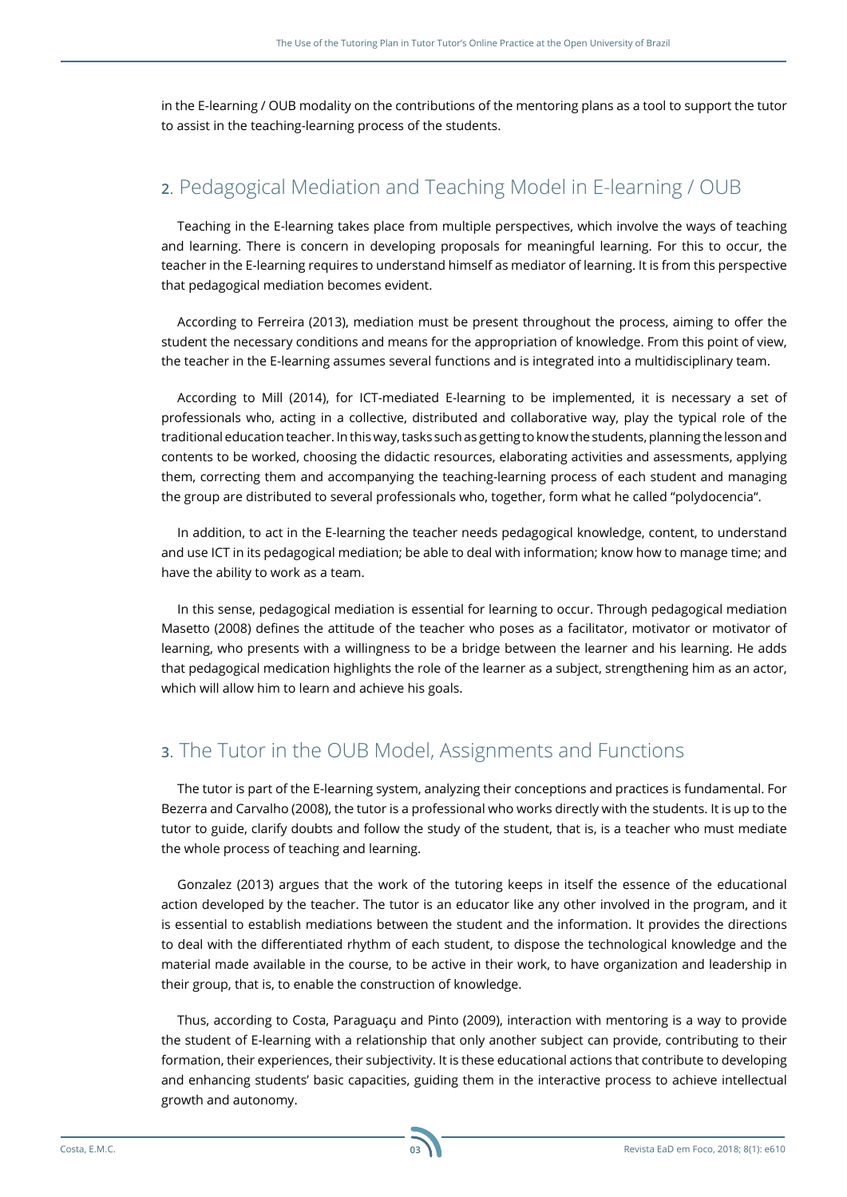in the E-learning / OUB modality on the contributions of the mentoring plans as a tool to support the tutor to assist in the teaching-learning process of the students.

# **2**. Pedagogical Mediation and Teaching Model in E-learning / OUB

Teaching in the E-learning takes place from multiple perspectives, which involve the ways of teaching and learning. There is concern in developing proposals for meaningful learning. For this to occur, the teacher in the E-learning requires to understand himself as mediator of learning. It is from this perspective that pedagogical mediation becomes evident.

According to Ferreira (2013), mediation must be present throughout the process, aiming to offer the student the necessary conditions and means for the appropriation of knowledge. From this point of view, the teacher in the E-learning assumes several functions and is integrated into a multidisciplinary team.

According to Mill (2014), for ICT-mediated E-learning to be implemented, it is necessary a set of professionals who, acting in a collective, distributed and collaborative way, play the typical role of the traditional education teacher. In this way, tasks such as getting to know the students, planning the lesson and contents to be worked, choosing the didactic resources, elaborating activities and assessments, applying them, correcting them and accompanying the teaching-learning process of each student and managing the group are distributed to several professionals who, together, form what he called "polydocencia".

In addition, to act in the E-learning the teacher needs pedagogical knowledge, content, to understand and use ICT in its pedagogical mediation; be able to deal with information; know how to manage time; and have the ability to work as a team.

In this sense, pedagogical mediation is essential for learning to occur. Through pedagogical mediation Masetto (2008) defines the attitude of the teacher who poses as a facilitator, motivator or motivator of learning, who presents with a willingness to be a bridge between the learner and his learning. He adds that pedagogical medication highlights the role of the learner as a subject, strengthening him as an actor, which will allow him to learn and achieve his goals.

# **3**. The Tutor in the OUB Model, Assignments and Functions

The tutor is part of the E-learning system, analyzing their conceptions and practices is fundamental. For Bezerra and Carvalho (2008), the tutor is a professional who works directly with the students. It is up to the tutor to guide, clarify doubts and follow the study of the student, that is, is a teacher who must mediate the whole process of teaching and learning.

Gonzalez (2013) argues that the work of the tutoring keeps in itself the essence of the educational action developed by the teacher. The tutor is an educator like any other involved in the program, and it is essential to establish mediations between the student and the information. It provides the directions to deal with the differentiated rhythm of each student, to dispose the technological knowledge and the material made available in the course, to be active in their work, to have organization and leadership in their group, that is, to enable the construction of knowledge.

Thus, according to Costa, Paraguaçu and Pinto (2009), interaction with mentoring is a way to provide the student of E-learning with a relationship that only another subject can provide, contributing to their formation, their experiences, their subjectivity. It is these educational actions that contribute to developing and enhancing students' basic capacities, guiding them in the interactive process to achieve intellectual growth and autonomy.

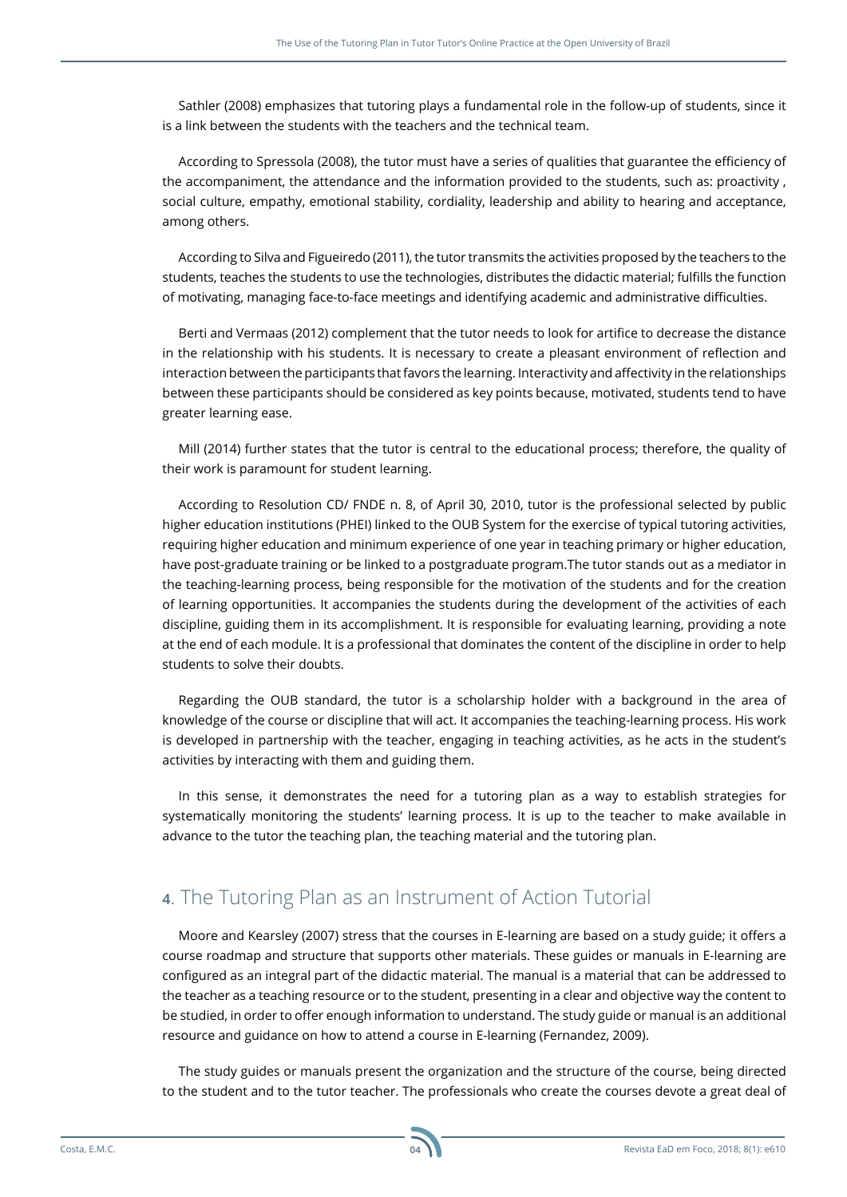Sathler (2008) emphasizes that tutoring plays a fundamental role in the follow-up of students, since it is a link between the students with the teachers and the technical team.

According to Spressola (2008), the tutor must have a series of qualities that guarantee the efficiency of the accompaniment, the attendance and the information provided to the students, such as: proactivity , social culture, empathy, emotional stability, cordiality, leadership and ability to hearing and acceptance, among others.

According to Silva and Figueiredo (2011), the tutor transmits the activities proposed by the teachers to the students, teaches the students to use the technologies, distributes the didactic material; fulfills the function of motivating, managing face-to-face meetings and identifying academic and administrative difficulties.

Berti and Vermaas (2012) complement that the tutor needs to look for artifice to decrease the distance in the relationship with his students. It is necessary to create a pleasant environment of reflection and interaction between the participants that favors the learning. Interactivity and affectivity in the relationships between these participants should be considered as key points because, motivated, students tend to have greater learning ease.

Mill (2014) further states that the tutor is central to the educational process; therefore, the quality of their work is paramount for student learning.

According to Resolution CD/ FNDE n. 8, of April 30, 2010, tutor is the professional selected by public higher education institutions (PHEI) linked to the OUB System for the exercise of typical tutoring activities, requiring higher education and minimum experience of one year in teaching primary or higher education, have post-graduate training or be linked to a postgraduate program.The tutor stands out as a mediator in the teaching-learning process, being responsible for the motivation of the students and for the creation of learning opportunities. It accompanies the students during the development of the activities of each discipline, guiding them in its accomplishment. It is responsible for evaluating learning, providing a note at the end of each module. It is a professional that dominates the content of the discipline in order to help students to solve their doubts.

Regarding the OUB standard, the tutor is a scholarship holder with a background in the area of knowledge of the course or discipline that will act. It accompanies the teaching-learning process. His work is developed in partnership with the teacher, engaging in teaching activities, as he acts in the student's activities by interacting with them and guiding them.

In this sense, it demonstrates the need for a tutoring plan as a way to establish strategies for systematically monitoring the students' learning process. It is up to the teacher to make available in advance to the tutor the teaching plan, the teaching material and the tutoring plan.

# **4**. The Tutoring Plan as an Instrument of Action Tutorial

Moore and Kearsley (2007) stress that the courses in E-learning are based on a study guide; it offers a course roadmap and structure that supports other materials. These guides or manuals in E-learning are configured as an integral part of the didactic material. The manual is a material that can be addressed to the teacher as a teaching resource or to the student, presenting in a clear and objective way the content to be studied, in order to offer enough information to understand. The study guide or manual is an additional resource and guidance on how to attend a course in E-learning (Fernandez, 2009).

The study guides or manuals present the organization and the structure of the course, being directed to the student and to the tutor teacher. The professionals who create the courses devote a great deal of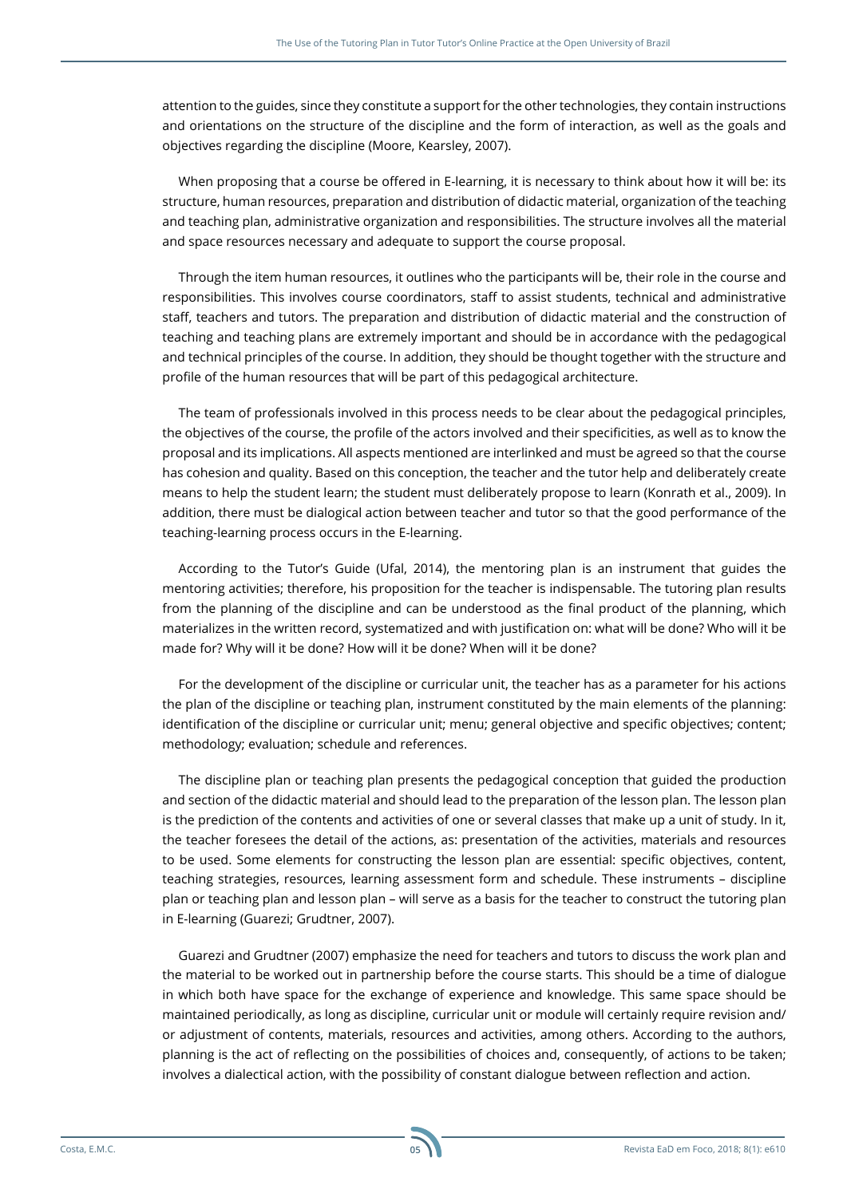attention to the guides, since they constitute a support for the other technologies, they contain instructions and orientations on the structure of the discipline and the form of interaction, as well as the goals and objectives regarding the discipline (Moore, Kearsley, 2007).

When proposing that a course be offered in E-learning, it is necessary to think about how it will be: its structure, human resources, preparation and distribution of didactic material, organization of the teaching and teaching plan, administrative organization and responsibilities. The structure involves all the material and space resources necessary and adequate to support the course proposal.

Through the item human resources, it outlines who the participants will be, their role in the course and responsibilities. This involves course coordinators, staff to assist students, technical and administrative staff, teachers and tutors. The preparation and distribution of didactic material and the construction of teaching and teaching plans are extremely important and should be in accordance with the pedagogical and technical principles of the course. In addition, they should be thought together with the structure and profile of the human resources that will be part of this pedagogical architecture.

The team of professionals involved in this process needs to be clear about the pedagogical principles, the objectives of the course, the profile of the actors involved and their specificities, as well as to know the proposal and its implications. All aspects mentioned are interlinked and must be agreed so that the course has cohesion and quality. Based on this conception, the teacher and the tutor help and deliberately create means to help the student learn; the student must deliberately propose to learn (Konrath et al., 2009). In addition, there must be dialogical action between teacher and tutor so that the good performance of the teaching-learning process occurs in the E-learning.

According to the Tutor's Guide (Ufal, 2014), the mentoring plan is an instrument that guides the mentoring activities; therefore, his proposition for the teacher is indispensable. The tutoring plan results from the planning of the discipline and can be understood as the final product of the planning, which materializes in the written record, systematized and with justification on: what will be done? Who will it be made for? Why will it be done? How will it be done? When will it be done?

For the development of the discipline or curricular unit, the teacher has as a parameter for his actions the plan of the discipline or teaching plan, instrument constituted by the main elements of the planning: identification of the discipline or curricular unit; menu; general objective and specific objectives; content; methodology; evaluation; schedule and references.

The discipline plan or teaching plan presents the pedagogical conception that guided the production and section of the didactic material and should lead to the preparation of the lesson plan. The lesson plan is the prediction of the contents and activities of one or several classes that make up a unit of study. In it, the teacher foresees the detail of the actions, as: presentation of the activities, materials and resources to be used. Some elements for constructing the lesson plan are essential: specific objectives, content, teaching strategies, resources, learning assessment form and schedule. These instruments – discipline plan or teaching plan and lesson plan – will serve as a basis for the teacher to construct the tutoring plan in E-learning (Guarezi; Grudtner, 2007).

Guarezi and Grudtner (2007) emphasize the need for teachers and tutors to discuss the work plan and the material to be worked out in partnership before the course starts. This should be a time of dialogue in which both have space for the exchange of experience and knowledge. This same space should be maintained periodically, as long as discipline, curricular unit or module will certainly require revision and/ or adjustment of contents, materials, resources and activities, among others. According to the authors, planning is the act of reflecting on the possibilities of choices and, consequently, of actions to be taken; involves a dialectical action, with the possibility of constant dialogue between reflection and action.

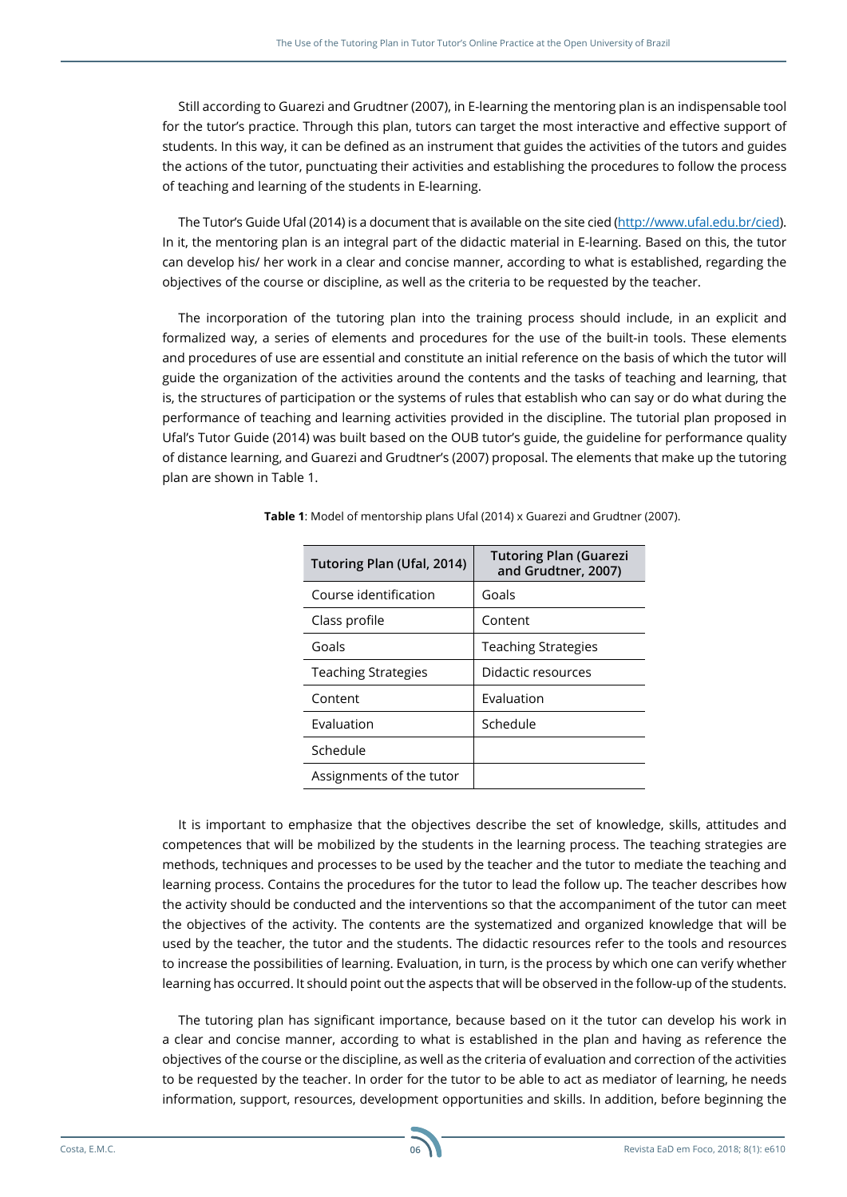Still according to Guarezi and Grudtner (2007), in E-learning the mentoring plan is an indispensable tool for the tutor's practice. Through this plan, tutors can target the most interactive and effective support of students. In this way, it can be defined as an instrument that guides the activities of the tutors and guides the actions of the tutor, punctuating their activities and establishing the procedures to follow the process of teaching and learning of the students in E-learning.

The Tutor's Guide Ufal (2014) is a document that is available on the site cied [\(http://www.ufal.edu.br/cied](http://www.ufal.edu.br/cied)). In it, the mentoring plan is an integral part of the didactic material in E-learning. Based on this, the tutor can develop his/ her work in a clear and concise manner, according to what is established, regarding the objectives of the course or discipline, as well as the criteria to be requested by the teacher.

The incorporation of the tutoring plan into the training process should include, in an explicit and formalized way, a series of elements and procedures for the use of the built-in tools. These elements and procedures of use are essential and constitute an initial reference on the basis of which the tutor will guide the organization of the activities around the contents and the tasks of teaching and learning, that is, the structures of participation or the systems of rules that establish who can say or do what during the performance of teaching and learning activities provided in the discipline. The tutorial plan proposed in Ufal's Tutor Guide (2014) was built based on the OUB tutor's guide, the guideline for performance quality of distance learning, and Guarezi and Grudtner's (2007) proposal. The elements that make up the tutoring plan are shown in Table 1.

| Tutoring Plan (Ufal, 2014) | <b>Tutoring Plan (Guarezi</b><br>and Grudtner, 2007) |
|----------------------------|------------------------------------------------------|
| Course identification      | Goals                                                |
| Class profile              | Content                                              |
| Goals                      | <b>Teaching Strategies</b>                           |
| <b>Teaching Strategies</b> | Didactic resources                                   |
| Content                    | Evaluation                                           |
| Evaluation                 | Schedule                                             |
| Schedule                   |                                                      |
| Assignments of the tutor   |                                                      |

**Table 1**: Model of mentorship plans Ufal (2014) x Guarezi and Grudtner (2007).

It is important to emphasize that the objectives describe the set of knowledge, skills, attitudes and competences that will be mobilized by the students in the learning process. The teaching strategies are methods, techniques and processes to be used by the teacher and the tutor to mediate the teaching and learning process. Contains the procedures for the tutor to lead the follow up. The teacher describes how the activity should be conducted and the interventions so that the accompaniment of the tutor can meet the objectives of the activity. The contents are the systematized and organized knowledge that will be used by the teacher, the tutor and the students. The didactic resources refer to the tools and resources to increase the possibilities of learning. Evaluation, in turn, is the process by which one can verify whether learning has occurred. It should point out the aspects that will be observed in the follow-up of the students.

The tutoring plan has significant importance, because based on it the tutor can develop his work in a clear and concise manner, according to what is established in the plan and having as reference the objectives of the course or the discipline, as well as the criteria of evaluation and correction of the activities to be requested by the teacher. In order for the tutor to be able to act as mediator of learning, he needs information, support, resources, development opportunities and skills. In addition, before beginning the

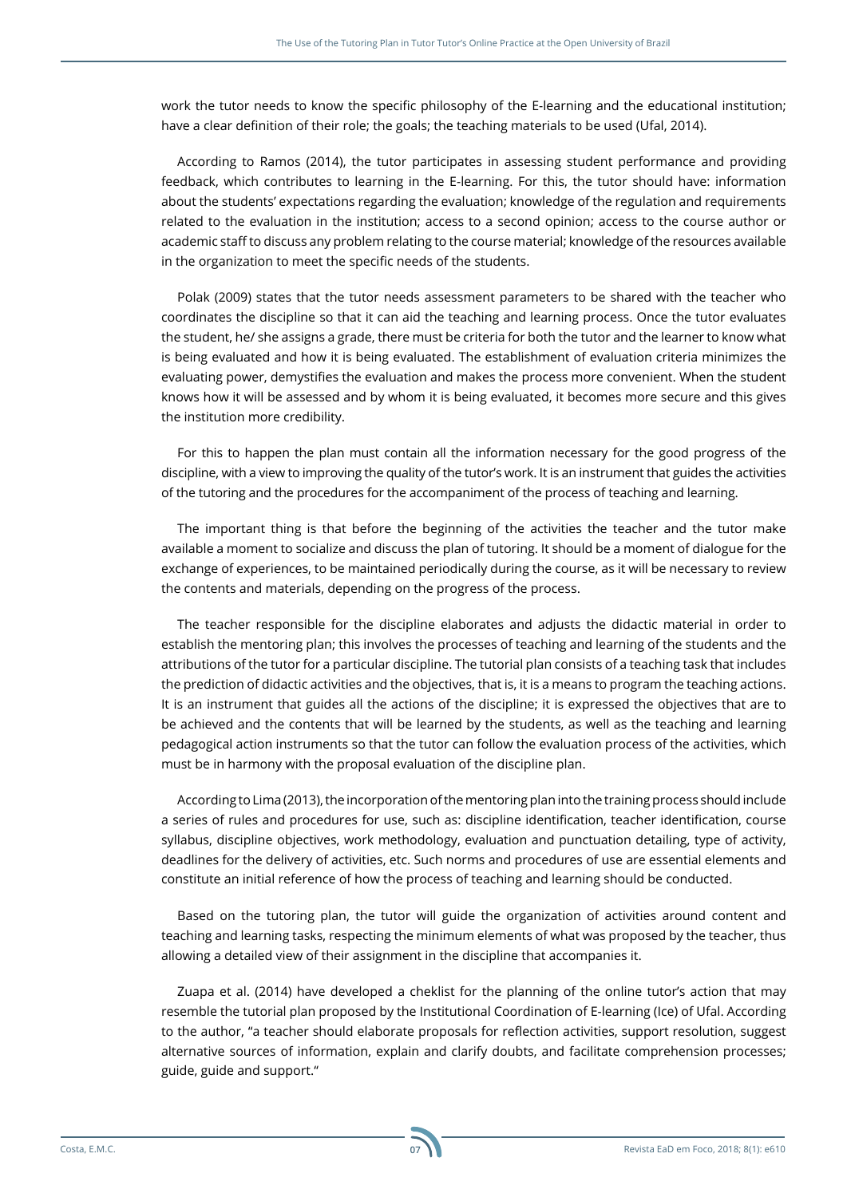work the tutor needs to know the specific philosophy of the E-learning and the educational institution; have a clear definition of their role; the goals; the teaching materials to be used (Ufal, 2014).

According to Ramos (2014), the tutor participates in assessing student performance and providing feedback, which contributes to learning in the E-learning. For this, the tutor should have: information about the students' expectations regarding the evaluation; knowledge of the regulation and requirements related to the evaluation in the institution; access to a second opinion; access to the course author or academic staff to discuss any problem relating to the course material; knowledge of the resources available in the organization to meet the specific needs of the students.

Polak (2009) states that the tutor needs assessment parameters to be shared with the teacher who coordinates the discipline so that it can aid the teaching and learning process. Once the tutor evaluates the student, he/ she assigns a grade, there must be criteria for both the tutor and the learner to know what is being evaluated and how it is being evaluated. The establishment of evaluation criteria minimizes the evaluating power, demystifies the evaluation and makes the process more convenient. When the student knows how it will be assessed and by whom it is being evaluated, it becomes more secure and this gives the institution more credibility.

For this to happen the plan must contain all the information necessary for the good progress of the discipline, with a view to improving the quality of the tutor's work. It is an instrument that guides the activities of the tutoring and the procedures for the accompaniment of the process of teaching and learning.

The important thing is that before the beginning of the activities the teacher and the tutor make available a moment to socialize and discuss the plan of tutoring. It should be a moment of dialogue for the exchange of experiences, to be maintained periodically during the course, as it will be necessary to review the contents and materials, depending on the progress of the process.

The teacher responsible for the discipline elaborates and adjusts the didactic material in order to establish the mentoring plan; this involves the processes of teaching and learning of the students and the attributions of the tutor for a particular discipline. The tutorial plan consists of a teaching task that includes the prediction of didactic activities and the objectives, that is, it is a means to program the teaching actions. It is an instrument that guides all the actions of the discipline; it is expressed the objectives that are to be achieved and the contents that will be learned by the students, as well as the teaching and learning pedagogical action instruments so that the tutor can follow the evaluation process of the activities, which must be in harmony with the proposal evaluation of the discipline plan.

According to Lima (2013), the incorporation of the mentoring plan into the training process should include a series of rules and procedures for use, such as: discipline identification, teacher identification, course syllabus, discipline objectives, work methodology, evaluation and punctuation detailing, type of activity, deadlines for the delivery of activities, etc. Such norms and procedures of use are essential elements and constitute an initial reference of how the process of teaching and learning should be conducted.

Based on the tutoring plan, the tutor will guide the organization of activities around content and teaching and learning tasks, respecting the minimum elements of what was proposed by the teacher, thus allowing a detailed view of their assignment in the discipline that accompanies it.

Zuapa et al. (2014) have developed a cheklist for the planning of the online tutor's action that may resemble the tutorial plan proposed by the Institutional Coordination of E-learning (Ice) of Ufal. According to the author, "a teacher should elaborate proposals for reflection activities, support resolution, suggest alternative sources of information, explain and clarify doubts, and facilitate comprehension processes; guide, guide and support."

**07**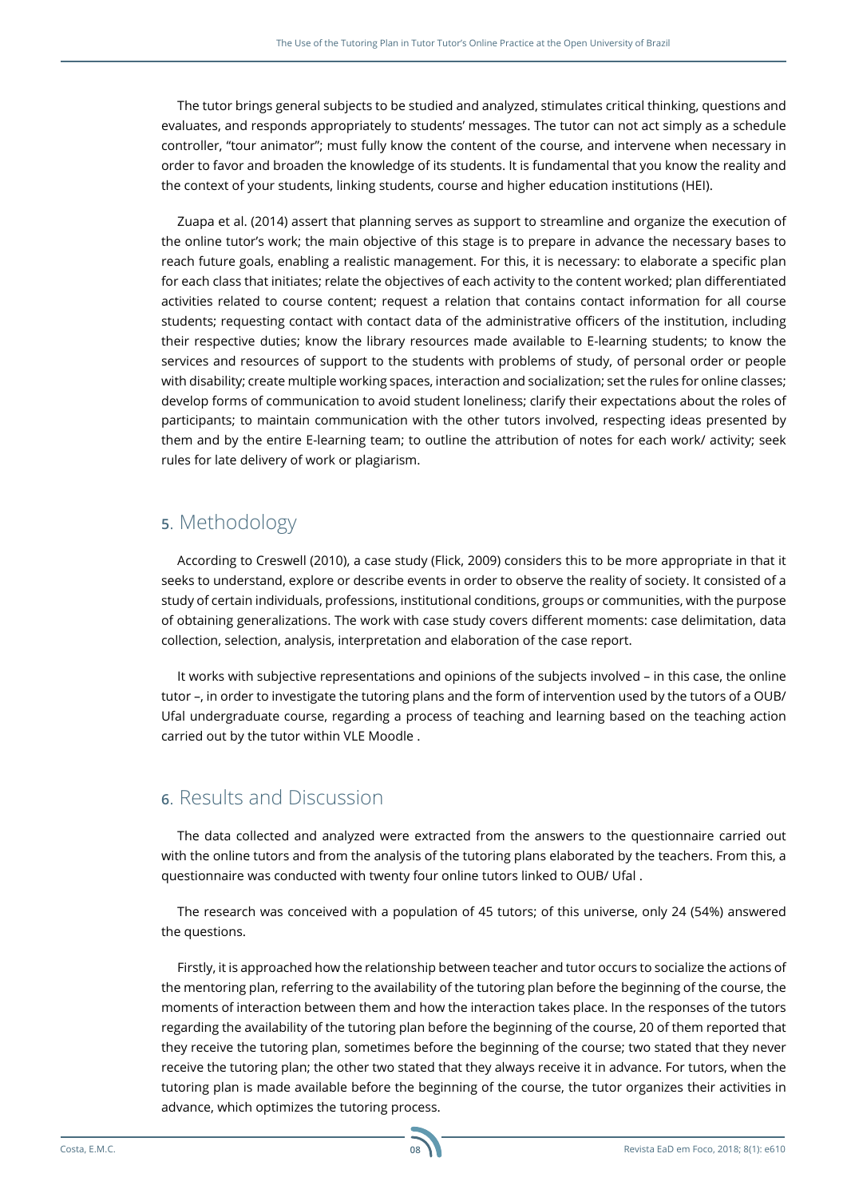The tutor brings general subjects to be studied and analyzed, stimulates critical thinking, questions and evaluates, and responds appropriately to students' messages. The tutor can not act simply as a schedule controller, "tour animator"; must fully know the content of the course, and intervene when necessary in order to favor and broaden the knowledge of its students. It is fundamental that you know the reality and the context of your students, linking students, course and higher education institutions (HEI).

Zuapa et al. (2014) assert that planning serves as support to streamline and organize the execution of the online tutor's work; the main objective of this stage is to prepare in advance the necessary bases to reach future goals, enabling a realistic management. For this, it is necessary: to elaborate a specific plan for each class that initiates; relate the objectives of each activity to the content worked; plan differentiated activities related to course content; request a relation that contains contact information for all course students; requesting contact with contact data of the administrative officers of the institution, including their respective duties; know the library resources made available to E-learning students; to know the services and resources of support to the students with problems of study, of personal order or people with disability; create multiple working spaces, interaction and socialization; set the rules for online classes; develop forms of communication to avoid student loneliness; clarify their expectations about the roles of participants; to maintain communication with the other tutors involved, respecting ideas presented by them and by the entire E-learning team; to outline the attribution of notes for each work/ activity; seek rules for late delivery of work or plagiarism.

# **5**. Methodology

According to Creswell (2010), a case study (Flick, 2009) considers this to be more appropriate in that it seeks to understand, explore or describe events in order to observe the reality of society. It consisted of a study of certain individuals, professions, institutional conditions, groups or communities, with the purpose of obtaining generalizations. The work with case study covers different moments: case delimitation, data collection, selection, analysis, interpretation and elaboration of the case report.

It works with subjective representations and opinions of the subjects involved – in this case, the online tutor –, in order to investigate the tutoring plans and the form of intervention used by the tutors of a OUB/ Ufal undergraduate course, regarding a process of teaching and learning based on the teaching action carried out by the tutor within VLE Moodle .

### **6**. Results and Discussion

The data collected and analyzed were extracted from the answers to the questionnaire carried out with the online tutors and from the analysis of the tutoring plans elaborated by the teachers. From this, a questionnaire was conducted with twenty four online tutors linked to OUB/ Ufal .

The research was conceived with a population of 45 tutors; of this universe, only 24 (54%) answered the questions.

Firstly, it is approached how the relationship between teacher and tutor occurs to socialize the actions of the mentoring plan, referring to the availability of the tutoring plan before the beginning of the course, the moments of interaction between them and how the interaction takes place. In the responses of the tutors regarding the availability of the tutoring plan before the beginning of the course, 20 of them reported that they receive the tutoring plan, sometimes before the beginning of the course; two stated that they never receive the tutoring plan; the other two stated that they always receive it in advance. For tutors, when the tutoring plan is made available before the beginning of the course, the tutor organizes their activities in advance, which optimizes the tutoring process.

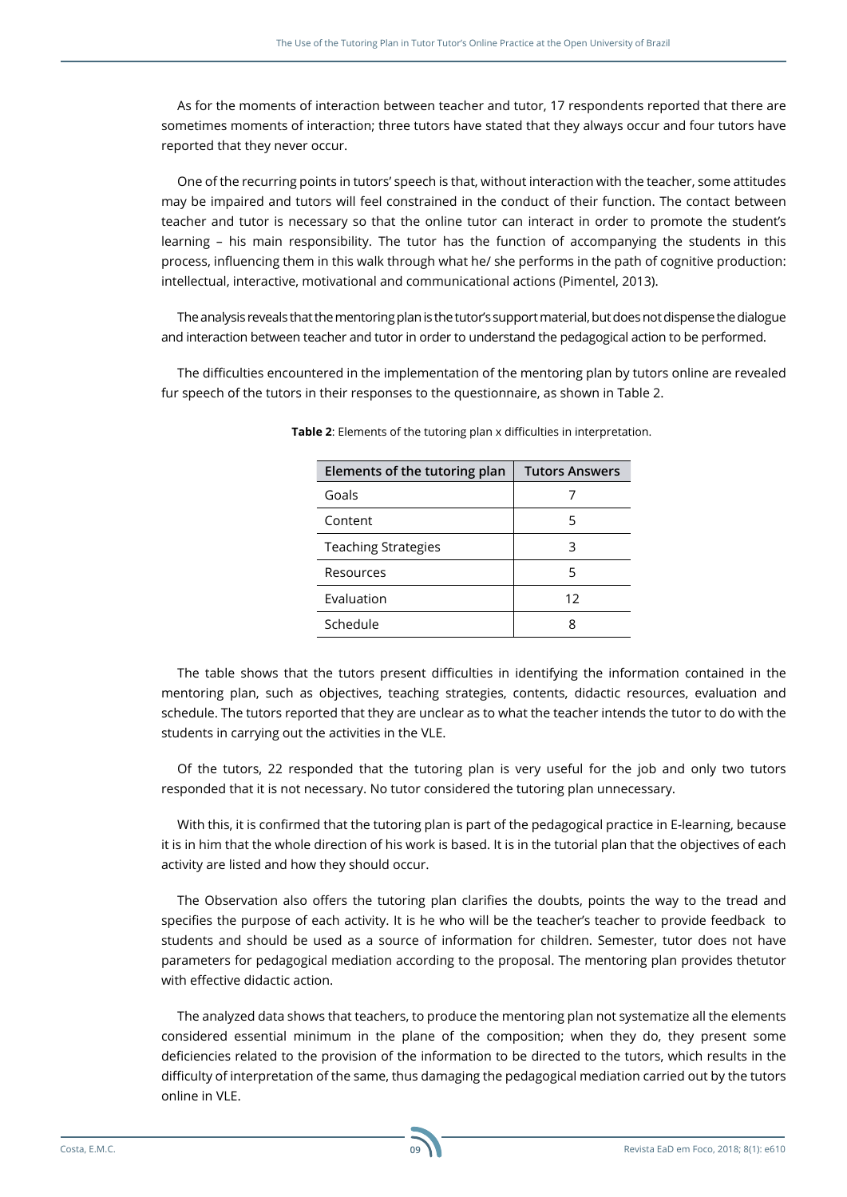As for the moments of interaction between teacher and tutor, 17 respondents reported that there are sometimes moments of interaction; three tutors have stated that they always occur and four tutors have reported that they never occur.

One of the recurring points in tutors' speech is that, without interaction with the teacher, some attitudes may be impaired and tutors will feel constrained in the conduct of their function. The contact between teacher and tutor is necessary so that the online tutor can interact in order to promote the student's learning – his main responsibility. The tutor has the function of accompanying the students in this process, influencing them in this walk through what he/ she performs in the path of cognitive production: intellectual, interactive, motivational and communicational actions (Pimentel, 2013).

The analysis reveals that the mentoring plan is the tutor's support material, but does not dispense the dialogue and interaction between teacher and tutor in order to understand the pedagogical action to be performed.

The difficulties encountered in the implementation of the mentoring plan by tutors online are revealed fur speech of the tutors in their responses to the questionnaire, as shown in Table 2.

| Elements of the tutoring plan | <b>Tutors Answers</b> |
|-------------------------------|-----------------------|
| Goals                         |                       |
| Content                       | 5                     |
| <b>Teaching Strategies</b>    | З                     |
| Resources                     | 5                     |
| Evaluation                    | 12                    |
| Schedule                      |                       |

**Table 2**: Elements of the tutoring plan x difficulties in interpretation.

The table shows that the tutors present difficulties in identifying the information contained in the mentoring plan, such as objectives, teaching strategies, contents, didactic resources, evaluation and schedule. The tutors reported that they are unclear as to what the teacher intends the tutor to do with the students in carrying out the activities in the VLE.

Of the tutors, 22 responded that the tutoring plan is very useful for the job and only two tutors responded that it is not necessary. No tutor considered the tutoring plan unnecessary.

With this, it is confirmed that the tutoring plan is part of the pedagogical practice in E-learning, because it is in him that the whole direction of his work is based. It is in the tutorial plan that the objectives of each activity are listed and how they should occur.

The Observation also offers the tutoring plan clarifies the doubts, points the way to the tread and specifies the purpose of each activity. It is he who will be the teacher's teacher to provide feedback to students and should be used as a source of information for children. Semester, tutor does not have parameters for pedagogical mediation according to the proposal. The mentoring plan provides thetutor with effective didactic action.

The analyzed data shows that teachers, to produce the mentoring plan not systematize all the elements considered essential minimum in the plane of the composition; when they do, they present some deficiencies related to the provision of the information to be directed to the tutors, which results in the difficulty of interpretation of the same, thus damaging the pedagogical mediation carried out by the tutors online in VLE.

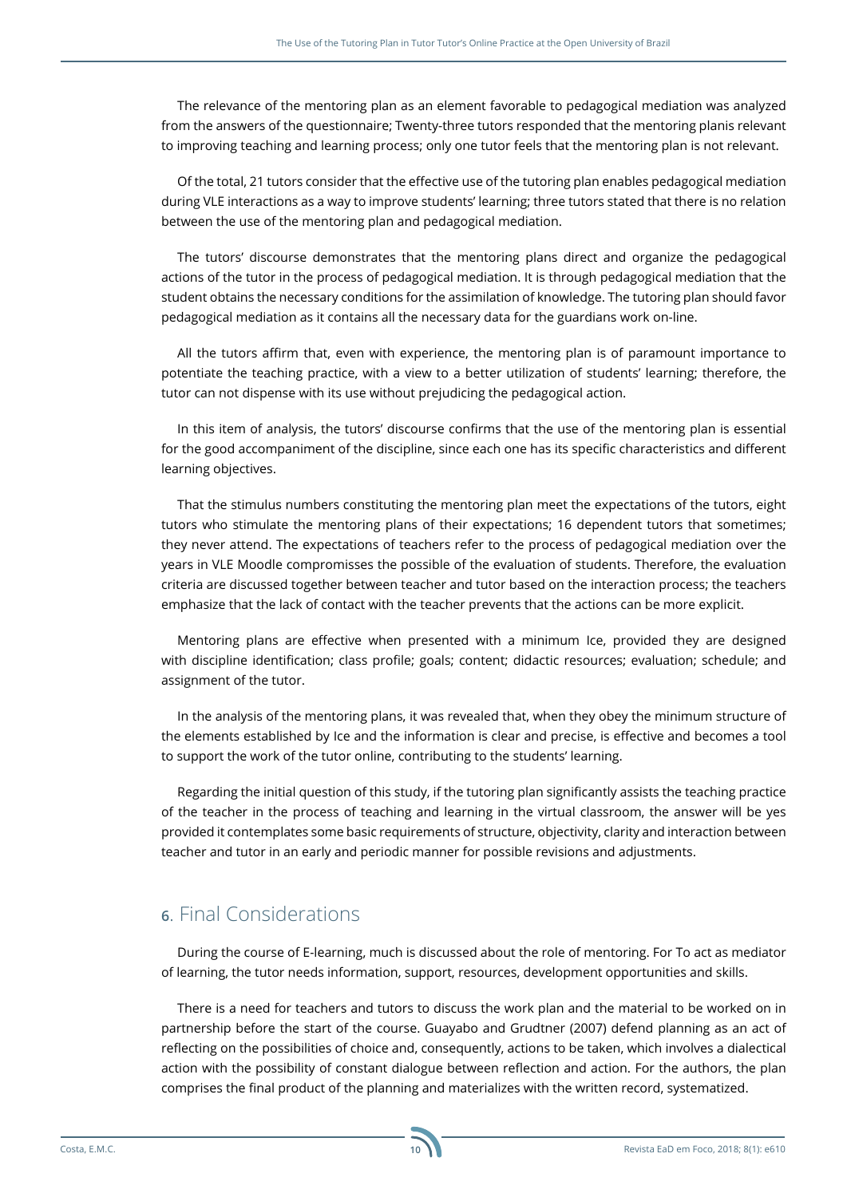The relevance of the mentoring plan as an element favorable to pedagogical mediation was analyzed from the answers of the questionnaire; Twenty-three tutors responded that the mentoring planis relevant to improving teaching and learning process; only one tutor feels that the mentoring plan is not relevant.

Of the total, 21 tutors consider that the effective use of the tutoring plan enables pedagogical mediation during VLE interactions as a way to improve students' learning; three tutors stated that there is no relation between the use of the mentoring plan and pedagogical mediation.

The tutors' discourse demonstrates that the mentoring plans direct and organize the pedagogical actions of the tutor in the process of pedagogical mediation. It is through pedagogical mediation that the student obtains the necessary conditions for the assimilation of knowledge. The tutoring plan should favor pedagogical mediation as it contains all the necessary data for the guardians work on-line.

All the tutors affirm that, even with experience, the mentoring plan is of paramount importance to potentiate the teaching practice, with a view to a better utilization of students' learning; therefore, the tutor can not dispense with its use without prejudicing the pedagogical action.

In this item of analysis, the tutors' discourse confirms that the use of the mentoring plan is essential for the good accompaniment of the discipline, since each one has its specific characteristics and different learning objectives.

That the stimulus numbers constituting the mentoring plan meet the expectations of the tutors, eight tutors who stimulate the mentoring plans of their expectations; 16 dependent tutors that sometimes; they never attend. The expectations of teachers refer to the process of pedagogical mediation over the years in VLE Moodle compromisses the possible of the evaluation of students. Therefore, the evaluation criteria are discussed together between teacher and tutor based on the interaction process; the teachers emphasize that the lack of contact with the teacher prevents that the actions can be more explicit.

Mentoring plans are effective when presented with a minimum Ice, provided they are designed with discipline identification; class profile; goals; content; didactic resources; evaluation; schedule; and assignment of the tutor.

In the analysis of the mentoring plans, it was revealed that, when they obey the minimum structure of the elements established by Ice and the information is clear and precise, is effective and becomes a tool to support the work of the tutor online, contributing to the students' learning.

Regarding the initial question of this study, if the tutoring plan significantly assists the teaching practice of the teacher in the process of teaching and learning in the virtual classroom, the answer will be yes provided it contemplates some basic requirements of structure, objectivity, clarity and interaction between teacher and tutor in an early and periodic manner for possible revisions and adjustments.

## **6**. Final Considerations

During the course of E-learning, much is discussed about the role of mentoring. For To act as mediator of learning, the tutor needs information, support, resources, development opportunities and skills.

There is a need for teachers and tutors to discuss the work plan and the material to be worked on in partnership before the start of the course. Guayabo and Grudtner (2007) defend planning as an act of reflecting on the possibilities of choice and, consequently, actions to be taken, which involves a dialectical action with the possibility of constant dialogue between reflection and action. For the authors, the plan comprises the final product of the planning and materializes with the written record, systematized.

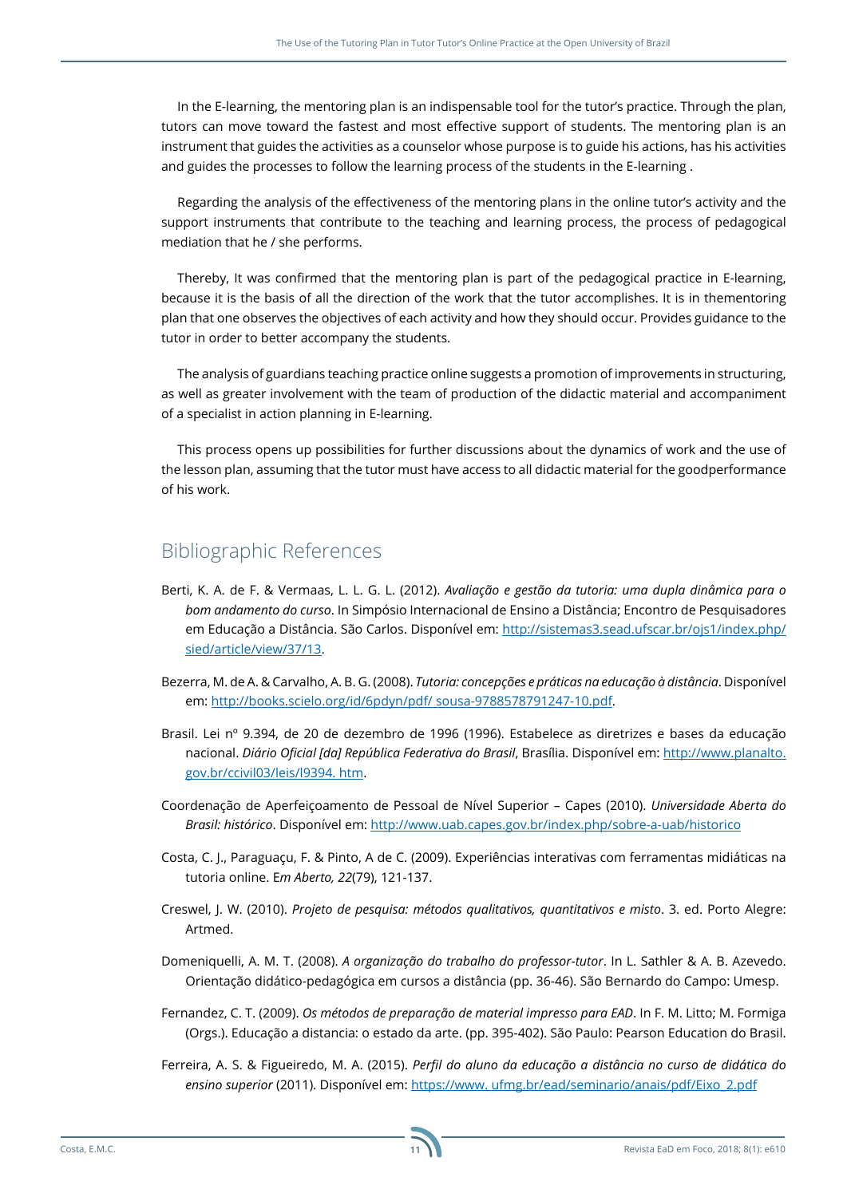In the E-learning, the mentoring plan is an indispensable tool for the tutor's practice. Through the plan, tutors can move toward the fastest and most effective support of students. The mentoring plan is an instrument that guides the activities as a counselor whose purpose is to guide his actions, has his activities and guides the processes to follow the learning process of the students in the E-learning .

Regarding the analysis of the effectiveness of the mentoring plans in the online tutor's activity and the support instruments that contribute to the teaching and learning process, the process of pedagogical mediation that he / she performs.

Thereby, It was confirmed that the mentoring plan is part of the pedagogical practice in E-learning, because it is the basis of all the direction of the work that the tutor accomplishes. It is in thementoring plan that one observes the objectives of each activity and how they should occur. Provides guidance to the tutor in order to better accompany the students.

The analysis of guardians teaching practice online suggests a promotion of improvements in structuring, as well as greater involvement with the team of production of the didactic material and accompaniment of a specialist in action planning in E-learning.

This process opens up possibilities for further discussions about the dynamics of work and the use of the lesson plan, assuming that the tutor must have access to all didactic material for the goodperformance of his work.

### Bibliographic References

- Berti, K. A. de F. & Vermaas, L. L. G. L. (2012). *Avaliação e gestão da tutoria: uma dupla dinâmica para o bom andamento do curso*. In Simpósio Internacional de Ensino a Distância; Encontro de Pesquisadores em Educação a Distância. São Carlos. Disponível em: [http://sistemas3.sead.ufscar.br/ojs1/index.php/](http://sistemas3.sead.ufscar.br/ojs1/index.php/sied/article/view/37/13) [sied/article/view/37/13.](http://sistemas3.sead.ufscar.br/ojs1/index.php/sied/article/view/37/13)
- Bezerra, M. de A. & Carvalho, A. B. G. (2008). *Tutoria: concepções e práticas na educação à distância*. Disponível em: [http://books.scielo.org/id/6pdyn/pdf/ sousa-9788578791247-10.pdf](http://books.scielo.org/id/6pdyn/pdf/%20sousa-9788578791247-10.pdf).
- Brasil. Lei nº 9.394, de 20 de dezembro de 1996 (1996). Estabelece as diretrizes e bases da educação nacional. *Diário Oficial [da] República Federativa do Brasil*, Brasília. Disponível em: [http://www.planalto.](http://www.planalto.gov.br/ccivil03/leis/l9394.%20htm) [gov.br/ccivil03/leis/l9394. htm.](http://www.planalto.gov.br/ccivil03/leis/l9394.%20htm)
- Coordenação de Aperfeiçoamento de Pessoal de Nível Superior Capes (2010). *Universidade Aberta do Brasil: histórico*. Disponível em: <http://www.uab.capes.gov.br/index.php/sobre-a-uab/historico>
- Costa, C. J., Paraguaçu, F. & Pinto, A de C. (2009). Experiências interativas com ferramentas midiáticas na tutoria online. E*m Aberto, 22*(79), 121-137.
- Creswel, J. W. (2010). *Projeto de pesquisa: métodos qualitativos, quantitativos e misto*. 3. ed. Porto Alegre: Artmed.
- Domeniquelli, A. M. T. (2008). *A organização do trabalho do professor-tutor*. In L. Sathler & A. B. Azevedo. Orientação didático-pedagógica em cursos a distância (pp. 36-46). São Bernardo do Campo: Umesp.
- Fernandez, C. T. (2009). *Os métodos de preparação de material impresso para EAD*. In F. M. Litto; M. Formiga (Orgs.). Educação a distancia: o estado da arte. (pp. 395-402). São Paulo: Pearson Education do Brasil.
- Ferreira, A. S. & Figueiredo, M. A. (2015). *Perfil do aluno da educação a distância no curso de didática do ensino superior* (2011). Disponível em: [https://www. ufmg.br/ead/seminario/anais/pdf/Eixo\\_2.pdf](https://www.%20ufmg.br/ead/seminario/anais/pdf/Eixo_2.pdf)